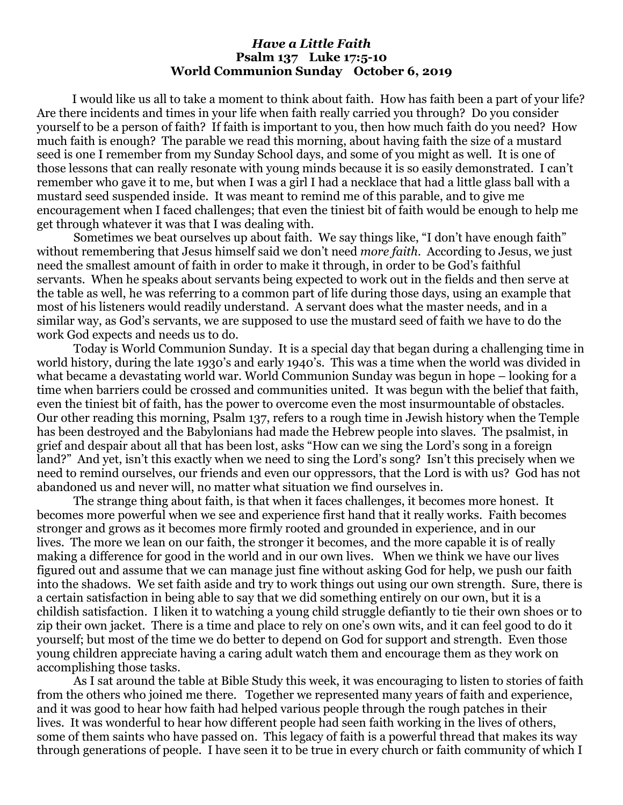## *Have a Little Faith* **Psalm 137 Luke 17:5-10 World Communion Sunday October 6, 2019**

I would like us all to take a moment to think about faith. How has faith been a part of your life? Are there incidents and times in your life when faith really carried you through? Do you consider yourself to be a person of faith? If faith is important to you, then how much faith do you need? How much faith is enough? The parable we read this morning, about having faith the size of a mustard seed is one I remember from my Sunday School days, and some of you might as well. It is one of those lessons that can really resonate with young minds because it is so easily demonstrated. I can't remember who gave it to me, but when I was a girl I had a necklace that had a little glass ball with a mustard seed suspended inside. It was meant to remind me of this parable, and to give me encouragement when I faced challenges; that even the tiniest bit of faith would be enough to help me get through whatever it was that I was dealing with.

Sometimes we beat ourselves up about faith. We say things like, "I don't have enough faith" without remembering that Jesus himself said we don't need *more faith*. According to Jesus, we just need the smallest amount of faith in order to make it through, in order to be God's faithful servants. When he speaks about servants being expected to work out in the fields and then serve at the table as well, he was referring to a common part of life during those days, using an example that most of his listeners would readily understand. A servant does what the master needs, and in a similar way, as God's servants, we are supposed to use the mustard seed of faith we have to do the work God expects and needs us to do.

Today is World Communion Sunday. It is a special day that began during a challenging time in world history, during the late 1930's and early 1940's. This was a time when the world was divided in what became a devastating world war. World Communion Sunday was begun in hope – looking for a time when barriers could be crossed and communities united. It was begun with the belief that faith, even the tiniest bit of faith, has the power to overcome even the most insurmountable of obstacles. Our other reading this morning, Psalm 137, refers to a rough time in Jewish history when the Temple has been destroyed and the Babylonians had made the Hebrew people into slaves. The psalmist, in grief and despair about all that has been lost, asks "How can we sing the Lord's song in a foreign land?" And yet, isn't this exactly when we need to sing the Lord's song? Isn't this precisely when we need to remind ourselves, our friends and even our oppressors, that the Lord is with us? God has not abandoned us and never will, no matter what situation we find ourselves in.

The strange thing about faith, is that when it faces challenges, it becomes more honest. It becomes more powerful when we see and experience first hand that it really works. Faith becomes stronger and grows as it becomes more firmly rooted and grounded in experience, and in our lives. The more we lean on our faith, the stronger it becomes, and the more capable it is of really making a difference for good in the world and in our own lives. When we think we have our lives figured out and assume that we can manage just fine without asking God for help, we push our faith into the shadows. We set faith aside and try to work things out using our own strength. Sure, there is a certain satisfaction in being able to say that we did something entirely on our own, but it is a childish satisfaction. I liken it to watching a young child struggle defiantly to tie their own shoes or to zip their own jacket. There is a time and place to rely on one's own wits, and it can feel good to do it yourself; but most of the time we do better to depend on God for support and strength. Even those young children appreciate having a caring adult watch them and encourage them as they work on accomplishing those tasks.

As I sat around the table at Bible Study this week, it was encouraging to listen to stories of faith from the others who joined me there. Together we represented many years of faith and experience, and it was good to hear how faith had helped various people through the rough patches in their lives. It was wonderful to hear how different people had seen faith working in the lives of others, some of them saints who have passed on. This legacy of faith is a powerful thread that makes its way through generations of people. I have seen it to be true in every church or faith community of which I